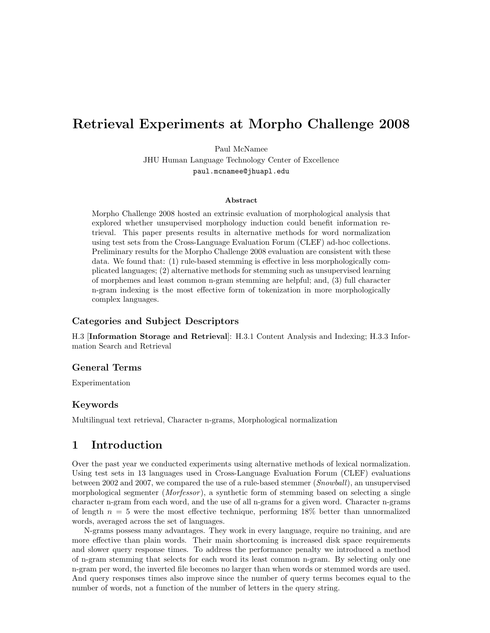# Retrieval Experiments at Morpho Challenge 2008

Paul McNamee

JHU Human Language Technology Center of Excellence paul.mcnamee@jhuapl.edu

#### Abstract

Morpho Challenge 2008 hosted an extrinsic evaluation of morphological analysis that explored whether unsupervised morphology induction could benefit information retrieval. This paper presents results in alternative methods for word normalization using test sets from the Cross-Language Evaluation Forum (CLEF) ad-hoc collections. Preliminary results for the Morpho Challenge 2008 evaluation are consistent with these data. We found that: (1) rule-based stemming is effective in less morphologically complicated languages; (2) alternative methods for stemming such as unsupervised learning of morphemes and least common n-gram stemming are helpful; and, (3) full character n-gram indexing is the most effective form of tokenization in more morphologically complex languages.

## Categories and Subject Descriptors

H.3 [Information Storage and Retrieval]: H.3.1 Content Analysis and Indexing; H.3.3 Information Search and Retrieval

### General Terms

Experimentation

### Keywords

Multilingual text retrieval, Character n-grams, Morphological normalization

# 1 Introduction

Over the past year we conducted experiments using alternative methods of lexical normalization. Using test sets in 13 languages used in Cross-Language Evaluation Forum (CLEF) evaluations between 2002 and 2007, we compared the use of a rule-based stemmer (Snowball), an unsupervised morphological segmenter (*Morfessor*), a synthetic form of stemming based on selecting a single character n-gram from each word, and the use of all n-grams for a given word. Character n-grams of length  $n = 5$  were the most effective technique, performing 18% better than unnormalized words, averaged across the set of languages.

N-grams possess many advantages. They work in every language, require no training, and are more effective than plain words. Their main shortcoming is increased disk space requirements and slower query response times. To address the performance penalty we introduced a method of n-gram stemming that selects for each word its least common n-gram. By selecting only one n-gram per word, the inverted file becomes no larger than when words or stemmed words are used. And query responses times also improve since the number of query terms becomes equal to the number of words, not a function of the number of letters in the query string.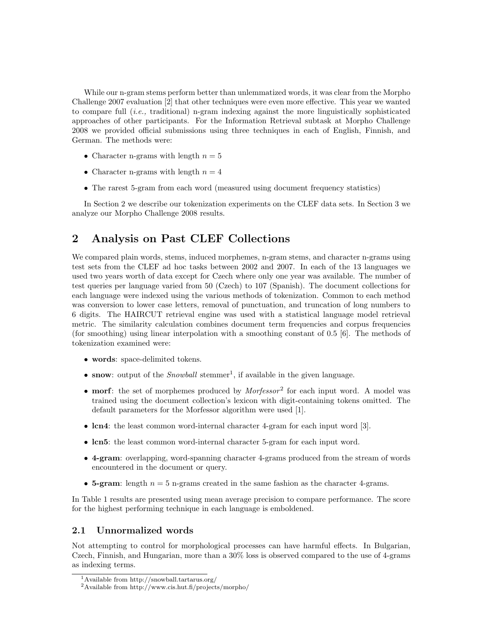While our n-gram stems perform better than unlemmatized words, it was clear from the Morpho Challenge 2007 evaluation [2] that other techniques were even more effective. This year we wanted to compare full  $(i.e.,$  traditional) n-gram indexing against the more linguistically sophisticated approaches of other participants. For the Information Retrieval subtask at Morpho Challenge 2008 we provided official submissions using three techniques in each of English, Finnish, and German. The methods were:

- Character n-grams with length  $n = 5$
- Character n-grams with length  $n = 4$
- The rarest 5-gram from each word (measured using document frequency statistics)

In Section 2 we describe our tokenization experiments on the CLEF data sets. In Section 3 we analyze our Morpho Challenge 2008 results.

# 2 Analysis on Past CLEF Collections

We compared plain words, stems, induced morphemes, n-gram stems, and character n-grams using test sets from the CLEF ad hoc tasks between 2002 and 2007. In each of the 13 languages we used two years worth of data except for Czech where only one year was available. The number of test queries per language varied from 50 (Czech) to 107 (Spanish). The document collections for each language were indexed using the various methods of tokenization. Common to each method was conversion to lower case letters, removal of punctuation, and truncation of long numbers to 6 digits. The HAIRCUT retrieval engine was used with a statistical language model retrieval metric. The similarity calculation combines document term frequencies and corpus frequencies (for smoothing) using linear interpolation with a smoothing constant of 0.5 [6]. The methods of tokenization examined were:

- words: space-delimited tokens.
- snow: output of the *Snowball* stemmer<sup>1</sup>, if available in the given language.
- morf: the set of morphemes produced by  $Morfessor^2$  for each input word. A model was trained using the document collection's lexicon with digit-containing tokens omitted. The default parameters for the Morfessor algorithm were used [1].
- lcn4: the least common word-internal character 4-gram for each input word [3].
- lcn5: the least common word-internal character 5-gram for each input word.
- 4-gram: overlapping, word-spanning character 4-grams produced from the stream of words encountered in the document or query.
- 5-gram: length  $n = 5$  n-grams created in the same fashion as the character 4-grams.

In Table 1 results are presented using mean average precision to compare performance. The score for the highest performing technique in each language is emboldened.

### 2.1 Unnormalized words

Not attempting to control for morphological processes can have harmful effects. In Bulgarian, Czech, Finnish, and Hungarian, more than a 30% loss is observed compared to the use of 4-grams as indexing terms.

<sup>1</sup>Available from http://snowball.tartarus.org/

<sup>2</sup>Available from http://www.cis.hut.fi/projects/morpho/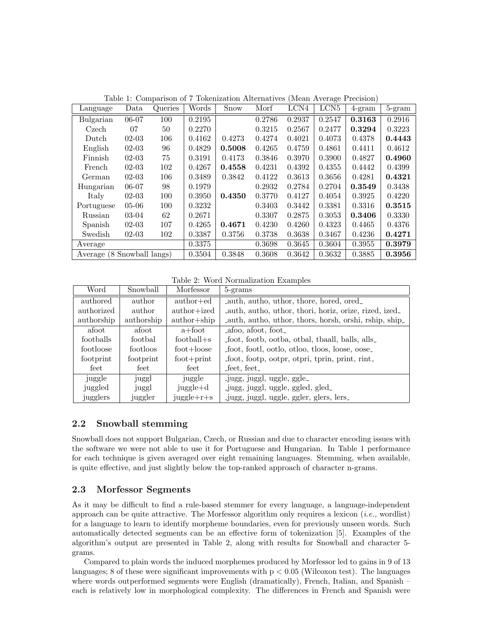| Language                   | Data      | Queries | Words  | Snow   | Morf   | LCN4   | LCN <sub>5</sub> | $4\text{-}gram$ | 5-gram |
|----------------------------|-----------|---------|--------|--------|--------|--------|------------------|-----------------|--------|
| Bulgarian                  | 06-07     | 100     | 0.2195 |        | 0.2786 | 0.2937 | 0.2547           | 0.3163          | 0.2916 |
| Czech                      | 07        | 50      | 0.2270 |        | 0.3215 | 0.2567 | 0.2477           | 0.3294          | 0.3223 |
| Dutch                      | $02-03$   | 106     | 0.4162 | 0.4273 | 0.4274 | 0.4021 | 0.4073           | 0.4378          | 0.4443 |
| English                    | $02-03$   | 96      | 0.4829 | 0.5008 | 0.4265 | 0.4759 | 0.4861           | 0.4411          | 0.4612 |
| Finnish                    | $02-03$   | 75      | 0.3191 | 0.4173 | 0.3846 | 0.3970 | 0.3900           | 0.4827          | 0.4960 |
| French                     | $02-03$   | 102     | 0.4267 | 0.4558 | 0.4231 | 0.4392 | 0.4355           | 0.4442          | 0.4399 |
| German                     | $02-03$   | 106     | 0.3489 | 0.3842 | 0.4122 | 0.3613 | 0.3656           | 0.4281          | 0.4321 |
| Hungarian                  | $06-07$   | 98      | 0.1979 |        | 0.2932 | 0.2784 | 0.2704           | 0.3549          | 0.3438 |
| Italy                      | $02-03$   | 100     | 0.3950 | 0.4350 | 0.3770 | 0.4127 | 0.4054           | 0.3925          | 0.4220 |
| Portuguese                 | $05 - 06$ | 100     | 0.3232 |        | 0.3403 | 0.3442 | 0.3381           | 0.3316          | 0.3515 |
| Russian                    | $03-04$   | 62      | 0.2671 |        | 0.3307 | 0.2875 | 0.3053           | 0.3406          | 0.3330 |
| Spanish                    | $02-03$   | 107     | 0.4265 | 0.4671 | 0.4230 | 0.4260 | 0.4323           | 0.4465          | 0.4376 |
| Swedish                    | $02-03$   | 102     | 0.3387 | 0.3756 | 0.3738 | 0.3638 | 0.3467           | 0.4236          | 0.4271 |
| Average                    |           |         | 0.3375 |        | 0.3698 | 0.3645 | 0.3604           | 0.3955          | 0.3979 |
| Average (8 Snowball langs) |           |         | 0.3504 | 0.3848 | 0.3608 | 0.3642 | 0.3632           | 0.3885          | 0.3956 |

Table 1: Comparison of 7 Tokenization Alternatives (Mean Average Precision)

Table 2: Word Normalization Examples

| Word       | Snowball   | Morfessor                   | 5-grams                                                |
|------------|------------|-----------------------------|--------------------------------------------------------|
| authored   | author     | $\text{author+ed}$          | Lauth, autho, uthor, thore, hored, ored.               |
| authorized | author     | $\text{author+ized}$        | _auth, autho, uthor, thori, horiz, orize, rized, ized_ |
| authorship | authorship | $\text{author}+\text{ship}$ | Lauth, autho, uthor, thors, horsh, orshi, rship, ship  |
| afoot      | afoot      | a+foot                      | afoo, afoot, foot.                                     |
| footballs  | footbal    | $football + s$              | foot, footb, ootba, otbal, thaall, balls, alls         |
| footloose  | footloos   | $foot+loose$                | foot, footl, ootlo, otloo, tloos, loose, oose_         |
| footprint  | footprint  | $foot + print$              | foot, footp, ootpr, otpri, tprin, print, rint.         |
| feet       | feet       | feet                        | $_{\text{feet, feet}}$                                 |
| juggle     | juggl      | juggle                      | -jugg, juggl, uggle, ggle                              |
| juggled    | juggl      | $jugge+d$                   | _jugg, juggl, uggle, ggled, gled_                      |
| jugglers   | juggler    | $jugge+r+s$                 | -jugg, juggl, uggle, ggler, glers, lers                |

# 2.2 Snowball stemming

Snowball does not support Bulgarian, Czech, or Russian and due to character encoding issues with the software we were not able to use it for Portuguese and Hungarian. In Table 1 performance for each technique is given averaged over eight remaining languages. Stemming, when available, is quite effective, and just slightly below the top-ranked approach of character n-grams.

### 2.3 Morfessor Segments

As it may be difficult to find a rule-based stemmer for every language, a language-independent approach can be quite attractive. The Morfessor algorithm only requires a lexicon  $(i.e.,$  wordlist) for a language to learn to identify morpheme boundaries, even for previously unseen words. Such automatically detected segments can be an effective form of tokenization [5]. Examples of the algorithm's output are presented in Table 2, along with results for Snowball and character 5 grams.

Compared to plain words the induced morphemes produced by Morfessor led to gains in 9 of 13 languages; 8 of these were significant improvements with  $p < 0.05$  (Wilcoxon test). The languages where words outperformed segments were English (dramatically), French, Italian, and Spanish – each is relatively low in morphological complexity. The differences in French and Spanish were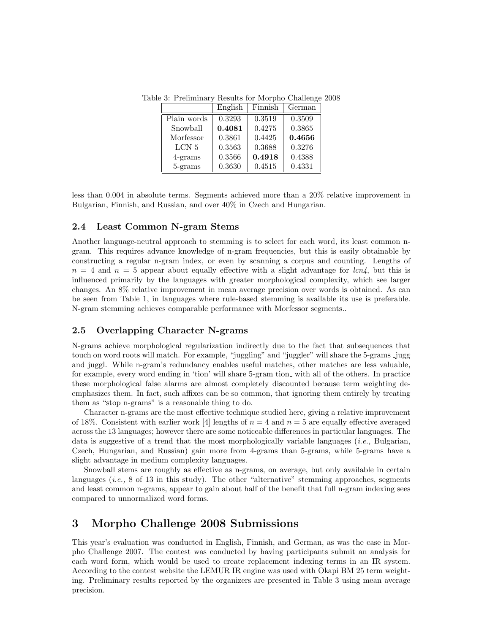Table 3: Preliminary Results for Morpho Challenge 2008

|             | English | Finnish | German |
|-------------|---------|---------|--------|
| Plain words | 0.3293  | 0.3519  | 0.3509 |
| Snowball    | 0.4081  | 0.4275  | 0.3865 |
| Morfessor   | 0.3861  | 0.4425  | 0.4656 |
| LCN 5       | 0.3563  | 0.3688  | 0.3276 |
| $4$ -grams  | 0.3566  | 0.4918  | 0.4388 |
| 5-grams     | 0.3630  | 0.4515  | 0.4331 |

less than 0.004 in absolute terms. Segments achieved more than a 20% relative improvement in Bulgarian, Finnish, and Russian, and over 40% in Czech and Hungarian.

### 2.4 Least Common N-gram Stems

Another language-neutral approach to stemming is to select for each word, its least common ngram. This requires advance knowledge of n-gram frequencies, but this is easily obtainable by constructing a regular n-gram index, or even by scanning a corpus and counting. Lengths of  $n = 4$  and  $n = 5$  appear about equally effective with a slight advantage for lcn4, but this is influenced primarily by the languages with greater morphological complexity, which see larger changes. An 8% relative improvement in mean average precision over words is obtained. As can be seen from Table 1, in languages where rule-based stemming is available its use is preferable. N-gram stemming achieves comparable performance with Morfessor segments..

### 2.5 Overlapping Character N-grams

N-grams achieve morphological regularization indirectly due to the fact that subsequences that touch on word roots will match. For example, "juggling" and "juggler" will share the 5-grams jugg and juggl. While n-gram's redundancy enables useful matches, other matches are less valuable, for example, every word ending in 'tion' will share 5-gram tion with all of the others. In practice these morphological false alarms are almost completely discounted because term weighting deemphasizes them. In fact, such affixes can be so common, that ignoring them entirely by treating them as "stop n-grams" is a reasonable thing to do.

Character n-grams are the most effective technique studied here, giving a relative improvement of 18%. Consistent with earlier work [4] lengths of  $n = 4$  and  $n = 5$  are equally effective averaged across the 13 languages; however there are some noticeable differences in particular languages. The data is suggestive of a trend that the most morphologically variable languages *(i.e.*, Bulgarian, Czech, Hungarian, and Russian) gain more from 4-grams than 5-grams, while 5-grams have a slight advantage in medium complexity languages.

Snowball stems are roughly as effective as n-grams, on average, but only available in certain languages  $(i.e., 8 of 13 in this study)$ . The other "alternative" stemming approaches, segments and least common n-grams, appear to gain about half of the benefit that full n-gram indexing sees compared to unnormalized word forms.

# 3 Morpho Challenge 2008 Submissions

This year's evaluation was conducted in English, Finnish, and German, as was the case in Morpho Challenge 2007. The contest was conducted by having participants submit an analysis for each word form, which would be used to create replacement indexing terms in an IR system. According to the contest website the LEMUR IR engine was used with Okapi BM 25 term weighting. Preliminary results reported by the organizers are presented in Table 3 using mean average precision.